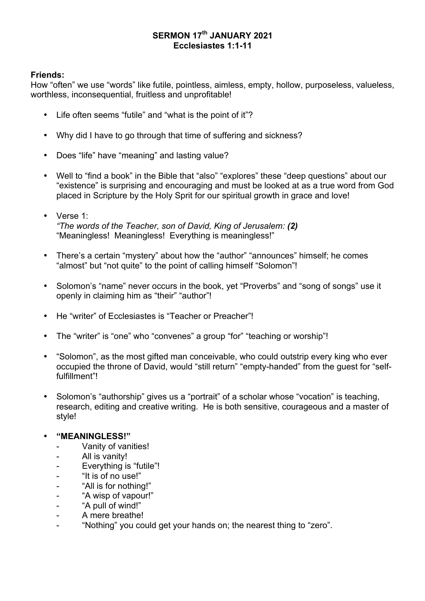## **SERMON 17th JANUARY 2021 Ecclesiastes 1:1-11**

# **Friends:**

How "often" we use "words" like futile, pointless, aimless, empty, hollow, purposeless, valueless, worthless, inconsequential, fruitless and unprofitable!

- Life often seems "futile" and "what is the point of it"?
- Why did I have to go through that time of suffering and sickness?
- Does "life" have "meaning" and lasting value?
- Well to "find a book" in the Bible that "also" "explores" these "deep questions" about our "existence" is surprising and encouraging and must be looked at as a true word from God placed in Scripture by the Holy Sprit for our spiritual growth in grace and love!
- Verse 1: *"The words of the Teacher, son of David, King of Jerusalem: (2)* "Meaningless! Meaningless! Everything is meaningless!"
- There's a certain "mystery" about how the "author" "announces" himself; he comes "almost" but "not quite" to the point of calling himself "Solomon"!
- Solomon's "name" never occurs in the book, yet "Proverbs" and "song of songs" use it openly in claiming him as "their" "author"!
- He "writer" of Ecclesiastes is "Teacher or Preacher"!
- The "writer" is "one" who "convenes" a group "for" "teaching or worship"!
- "Solomon", as the most gifted man conceivable, who could outstrip every king who ever occupied the throne of David, would "still return" "empty-handed" from the guest for "selffulfillment"!
- Solomon's "authorship" gives us a "portrait" of a scholar whose "vocation" is teaching, research, editing and creative writing. He is both sensitive, courageous and a master of style!

# • **"MEANINGLESS!"**

- Vanity of vanities!
- All is vanity!
- Everything is "futile"!
- "It is of no use!"
- "All is for nothing!"
- "A wisp of vapour!"
- "A pull of wind!"
- A mere breathe!
- "Nothing" you could get your hands on; the nearest thing to "zero".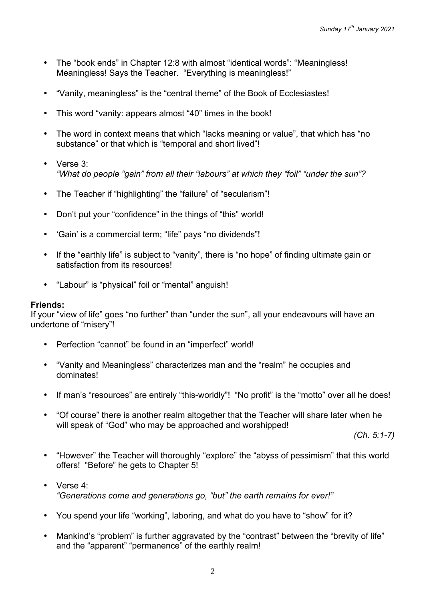- The "book ends" in Chapter 12:8 with almost "identical words": "Meaningless! Meaningless! Says the Teacher. "Everything is meaningless!"
- "Vanity, meaningless" is the "central theme" of the Book of Ecclesiastes!
- This word "vanity: appears almost "40" times in the book!
- The word in context means that which "lacks meaning or value", that which has "no substance" or that which is "temporal and short lived"!
- Verse 3: *"What do people "gain" from all their "labours" at which they "foil" "under the sun"?*
- The Teacher if "highlighting" the "failure" of "secularism"!
- Don't put your "confidence" in the things of "this" world!
- 'Gain' is a commercial term; "life" pays "no dividends"!
- If the "earthly life" is subject to "vanity", there is "no hope" of finding ultimate gain or satisfaction from its resources!
- "Labour" is "physical" foil or "mental" anguish!

#### **Friends:**

If your "view of life" goes "no further" than "under the sun", all your endeavours will have an undertone of "misery"!

- Perfection "cannot" be found in an "imperfect" world!
- "Vanity and Meaningless" characterizes man and the "realm" he occupies and dominates!
- If man's "resources" are entirely "this-worldly"! "No profit" is the "motto" over all he does!
- "Of course" there is another realm altogether that the Teacher will share later when he will speak of "God" who may be approached and worshipped!

*(Ch. 5:1-7)*

- "However" the Teacher will thoroughly "explore" the "abyss of pessimism" that this world offers! "Before" he gets to Chapter 5!
- Verse 4: *"Generations come and generations go, "but" the earth remains for ever!"*
- You spend your life "working", laboring, and what do you have to "show" for it?
- Mankind's "problem" is further aggravated by the "contrast" between the "brevity of life" and the "apparent" "permanence" of the earthly realm!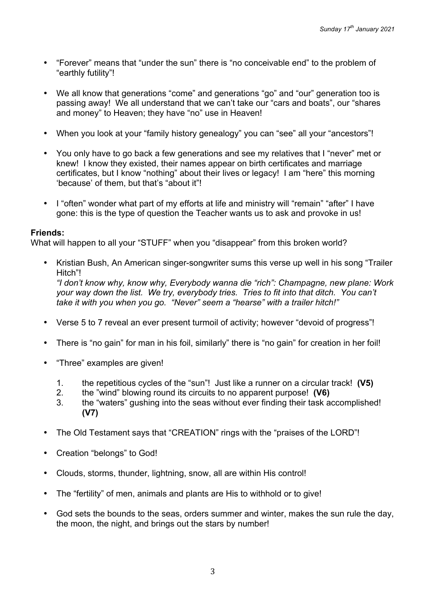- "Forever" means that "under the sun" there is "no conceivable end" to the problem of "earthly futility"!
- We all know that generations "come" and generations "go" and "our" generation too is passing away! We all understand that we can't take our "cars and boats", our "shares and money" to Heaven; they have "no" use in Heaven!
- When you look at your "family history genealogy" you can "see" all your "ancestors"!
- You only have to go back a few generations and see my relatives that I "never" met or knew! I know they existed, their names appear on birth certificates and marriage certificates, but I know "nothing" about their lives or legacy! I am "here" this morning 'because' of them, but that's "about it"!
- I "often" wonder what part of my efforts at life and ministry will "remain" "after" I have gone: this is the type of question the Teacher wants us to ask and provoke in us!

### **Friends:**

What will happen to all your "STUFF" when you "disappear" from this broken world?

- Kristian Bush, An American singer-songwriter sums this verse up well in his song "Trailer Hitch"! *"I don't know why, know why, Everybody wanna die "rich": Champagne, new plane: Work your way down the list. We try, everybody tries. Tries to fit into that ditch. You can't take it with you when you go. "Never" seem a "hearse" with a trailer hitch!"*
- Verse 5 to 7 reveal an ever present turmoil of activity; however "devoid of progress"!
- There is "no gain" for man in his foil, similarly" there is "no gain" for creation in her foil!
- "Three" examples are given!
	- 1. the repetitious cycles of the "sun"! Just like a runner on a circular track! **(V5)**
	- 2. the "wind" blowing round its circuits to no apparent purpose! **(V6)**
	- 3. the "waters" gushing into the seas without ever finding their task accomplished! **(V7)**
- The Old Testament says that "CREATION" rings with the "praises of the LORD"!
- Creation "belongs" to God!
- Clouds, storms, thunder, lightning, snow, all are within His control!
- The "fertility" of men, animals and plants are His to withhold or to give!
- God sets the bounds to the seas, orders summer and winter, makes the sun rule the day, the moon, the night, and brings out the stars by number!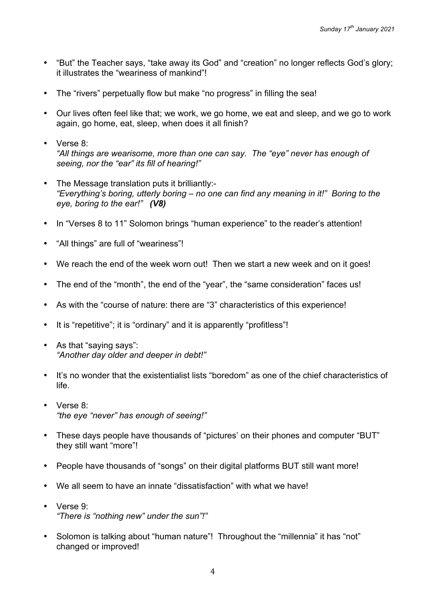- "But" the Teacher says, "take away its God" and "creation" no longer reflects God's glory; it illustrates the "weariness of mankind"!
- The "rivers" perpetually flow but make "no progress" in filling the sea!
- Our lives often feel like that; we work, we go home, we eat and sleep, and we go to work again, go home, eat, sleep, when does it all finish?
- Verse 8: *"All things are wearisome, more than one can say. The "eye" never has enough of seeing, nor the "ear" its fill of hearing!"*
- The Message translation puts it brilliantly:- *"Everything's boring, utterly boring – no one can find any meaning in it!" Boring to the eye, boring to the ear!" (V8)*
- In "Verses 8 to 11" Solomon brings "human experience" to the reader's attention!
- "All things" are full of "weariness"!
- We reach the end of the week worn out! Then we start a new week and on it goes!
- The end of the "month", the end of the "year", the "same consideration" faces us!
- As with the "course of nature: there are "3" characteristics of this experience!
- It is "repetitive"; it is "ordinary" and it is apparently "profitless"!
- As that "saying says": *"Another day older and deeper in debt!"*
- It's no wonder that the existentialist lists "boredom" as one of the chief characteristics of life.
- Verse 8: *"the eye "never" has enough of seeing!"*
- These days people have thousands of "pictures' on their phones and computer "BUT" they still want "more"!
- People have thousands of "songs" on their digital platforms BUT still want more!
- We all seem to have an innate "dissatisfaction" with what we have!
- Verse 9: *"There is "nothing new" under the sun"!"*
- Solomon is talking about "human nature"! Throughout the "millennia" it has "not" changed or improved!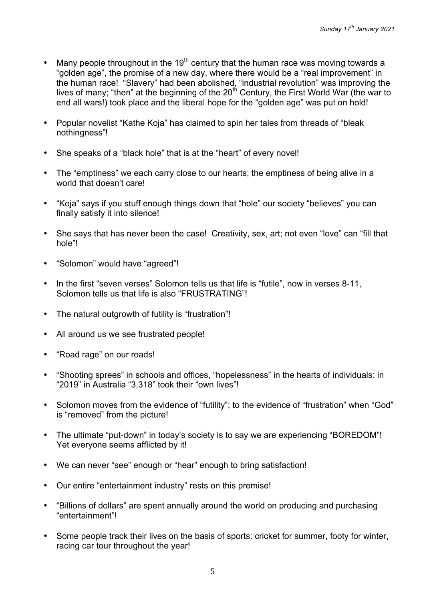- Many people throughout in the  $19<sup>th</sup>$  century that the human race was moving towards a "golden age", the promise of a new day, where there would be a "real improvement" in the human race! "Slavery" had been abolished, "industrial revolution" was improving the lives of many; "then" at the beginning of the 20<sup>th</sup> Century, the First World War (the war to end all wars!) took place and the liberal hope for the "golden age" was put on hold!
- Popular novelist "Kathe Koja" has claimed to spin her tales from threads of "bleak nothingness"!
- She speaks of a "black hole" that is at the "heart" of every novel!
- The "emptiness" we each carry close to our hearts; the emptiness of being alive in a world that doesn't care!
- "Koja" says if you stuff enough things down that "hole" our society "believes" you can finally satisfy it into silence!
- She says that has never been the case! Creativity, sex, art; not even "love" can "fill that hole"!
- "Solomon" would have "agreed"!
- In the first "seven verses" Solomon tells us that life is "futile", now in verses 8-11, Solomon tells us that life is also "FRUSTRATING"!
- The natural outgrowth of futility is "frustration"!
- All around us we see frustrated people!
- "Road rage" on our roads!
- "Shooting sprees" in schools and offices, "hopelessness" in the hearts of individuals: in "2019" in Australia "3,318" took their "own lives"!
- Solomon moves from the evidence of "futility"; to the evidence of "frustration" when "God" is "removed" from the picture!
- The ultimate "put-down" in today's society is to say we are experiencing "BOREDOM"! Yet everyone seems afflicted by it!
- We can never "see" enough or "hear" enough to bring satisfaction!
- Our entire "entertainment industry" rests on this premise!
- "Billions of dollars" are spent annually around the world on producing and purchasing "entertainment"!
- Some people track their lives on the basis of sports: cricket for summer, footy for winter, racing car tour throughout the year!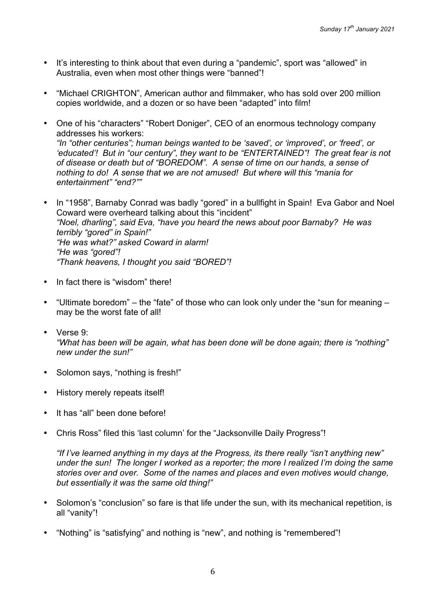- It's interesting to think about that even during a "pandemic", sport was "allowed" in Australia, even when most other things were "banned"!
- "Michael CRIGHTON", American author and filmmaker, who has sold over 200 million copies worldwide, and a dozen or so have been "adapted" into film!
- One of his "characters" "Robert Doniger", CEO of an enormous technology company addresses his workers: *"In "other centuries"; human beings wanted to be 'saved', or 'improved', or 'freed', or 'educated'! But in "our century", they want to be "ENTERTAINED"! The great fear is not of disease or death but of "BOREDOM". A sense of time on our hands, a sense of nothing to do! A sense that we are not amused! But where will this "mania for entertainment" "end?""*
- In "1958", Barnaby Conrad was badly "gored" in a bullfight in Spain! Eva Gabor and Noel Coward were overheard talking about this "incident" *"Noel, dharling", said Eva, "have you heard the news about poor Barnaby? He was terribly "gored" in Spain!" "He was what?" asked Coward in alarm! "He was "gored"! "Thank heavens, I thought you said "BORED"!*
- In fact there is "wisdom" there!
- "Ultimate boredom" the "fate" of those who can look only under the "sun for meaning may be the worst fate of all!
- Verse 9: *"What has been will be again, what has been done will be done again; there is "nothing" new under the sun!"*
- Solomon says, "nothing is fresh!"
- History merely repeats itself!
- It has "all" been done before!
- Chris Ross" filed this 'last column' for the "Jacksonville Daily Progress"!

*"If I've learned anything in my days at the Progress, its there really "isn't anything new" under the sun! The longer I worked as a reporter; the more I realized I'm doing the same stories over and over. Some of the names and places and even motives would change, but essentially it was the same old thing!"*

- Solomon's "conclusion" so fare is that life under the sun, with its mechanical repetition, is all "vanity"!
- "Nothing" is "satisfying" and nothing is "new", and nothing is "remembered"!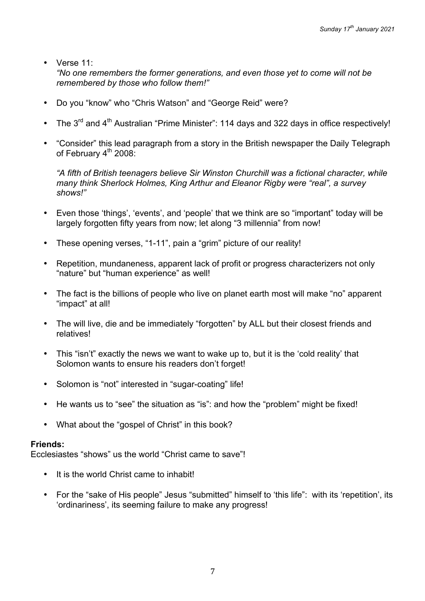• Verse 11<sup>:</sup>

*"No one remembers the former generations, and even those yet to come will not be remembered by those who follow them!"*

- Do you "know" who "Chris Watson" and "George Reid" were?
- The 3<sup>rd</sup> and 4<sup>th</sup> Australian "Prime Minister": 114 days and 322 days in office respectively!
- "Consider" this lead paragraph from a story in the British newspaper the Daily Telegraph of February  $4<sup>th</sup>$  2008:

*"A fifth of British teenagers believe Sir Winston Churchill was a fictional character, while many think Sherlock Holmes, King Arthur and Eleanor Rigby were "real", a survey shows!"*

- Even those 'things', 'events', and 'people' that we think are so "important" today will be largely forgotten fifty years from now; let along "3 millennia" from now!
- These opening verses, "1-11", pain a "grim" picture of our reality!
- Repetition, mundaneness, apparent lack of profit or progress characterizers not only "nature" but "human experience" as well!
- The fact is the billions of people who live on planet earth most will make "no" apparent "impact" at all!
- The will live, die and be immediately "forgotten" by ALL but their closest friends and relatives!
- This "isn't" exactly the news we want to wake up to, but it is the 'cold reality' that Solomon wants to ensure his readers don't forget!
- Solomon is "not" interested in "sugar-coating" life!
- He wants us to "see" the situation as "is": and how the "problem" might be fixed!
- What about the "gospel of Christ" in this book?

#### **Friends:**

Ecclesiastes "shows" us the world "Christ came to save"!

- It is the world Christ came to inhabit!
- For the "sake of His people" Jesus "submitted" himself to 'this life": with its 'repetition', its 'ordinariness', its seeming failure to make any progress!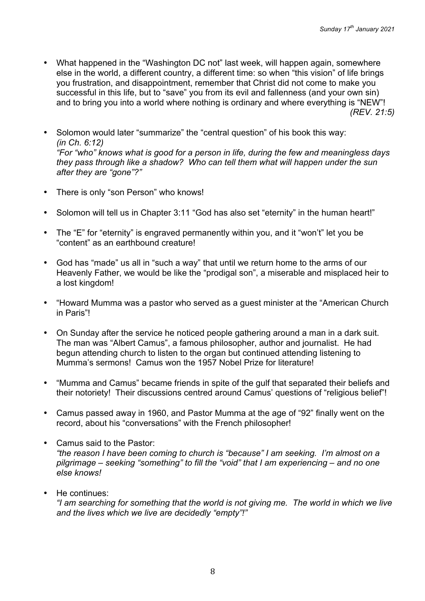- What happened in the "Washington DC not" last week, will happen again, somewhere else in the world, a different country, a different time: so when "this vision" of life brings you frustration, and disappointment, remember that Christ did not come to make you successful in this life, but to "save" you from its evil and fallenness (and your own sin) and to bring you into a world where nothing is ordinary and where everything is "NEW"! *(REV. 21:5)*
- Solomon would later "summarize" the "central question" of his book this way: *(in Ch. 6:12) "For "who" knows what is good for a person in life, during the few and meaningless days they pass through like a shadow? Who can tell them what will happen under the sun after they are "gone"?"*
- There is only "son Person" who knows!
- Solomon will tell us in Chapter 3:11 "God has also set "eternity" in the human heart!"
- The "E" for "eternity" is engraved permanently within you, and it "won't" let you be "content" as an earthbound creature!
- God has "made" us all in "such a way" that until we return home to the arms of our Heavenly Father, we would be like the "prodigal son", a miserable and misplaced heir to a lost kingdom!
- "Howard Mumma was a pastor who served as a guest minister at the "American Church in Paris"!
- On Sunday after the service he noticed people gathering around a man in a dark suit. The man was "Albert Camus", a famous philosopher, author and journalist. He had begun attending church to listen to the organ but continued attending listening to Mumma's sermons! Camus won the 1957 Nobel Prize for literature!
- "Mumma and Camus" became friends in spite of the gulf that separated their beliefs and their notoriety! Their discussions centred around Camus' questions of "religious belief"!
- Camus passed away in 1960, and Pastor Mumma at the age of "92" finally went on the record, about his "conversations" with the French philosopher!
- Camus said to the Pastor: *"the reason I have been coming to church is "because" I am seeking. I'm almost on a pilgrimage – seeking "something" to fill the "void" that I am experiencing – and no one else knows!*
- He continues:

*"I am searching for something that the world is not giving me. The world in which we live and the lives which we live are decidedly "empty"!"*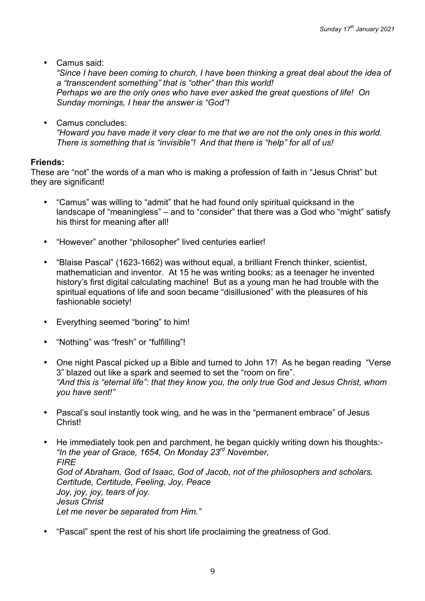• Camus said:

*"Since I have been coming to church, I have been thinking a great deal about the idea of a "transcendent something" that is "other" than this world! Perhaps we are the only ones who have ever asked the great questions of life! On Sunday mornings, I hear the answer is "God"!*

• Camus concludes: *"Howard you have made it very clear to me that we are not the only ones in this world. There is something that is "invisible"! And that there is "help" for all of us!*

## **Friends:**

These are "not" the words of a man who is making a profession of faith in "Jesus Christ" but they are significant!

- "Camus" was willing to "admit" that he had found only spiritual quicksand in the landscape of "meaningless" – and to "consider" that there was a God who "might" satisfy his thirst for meaning after all!
- "However" another "philosopher" lived centuries earlier!
- "Blaise Pascal" (1623-1662) was without equal, a brilliant French thinker, scientist, mathematician and inventor. At 15 he was writing books; as a teenager he invented history's first digital calculating machine! But as a young man he had trouble with the spiritual equations of life and soon became "disillusioned" with the pleasures of his fashionable society!
- Everything seemed "boring" to him!
- "Nothing" was "fresh" or "fulfilling"!
- One night Pascal picked up a Bible and turned to John 17! As he began reading "Verse 3" blazed out like a spark and seemed to set the "room on fire". *"And this is "eternal life": that they know you, the only true God and Jesus Christ, whom you have sent!"*
- Pascal's soul instantly took wing, and he was in the "permanent embrace" of Jesus Christ!
- He immediately took pen and parchment, he began quickly writing down his thoughts:- *"In the year of Grace, 1654, On Monday 23rd November, FIRE God of Abraham, God of Isaac, God of Jacob, not of the philosophers and scholars. Certitude, Certitude, Feeling, Joy, Peace Joy, joy, joy, tears of joy. Jesus Christ Let me never be separated from Him."*
- "Pascal" spent the rest of his short life proclaiming the greatness of God.